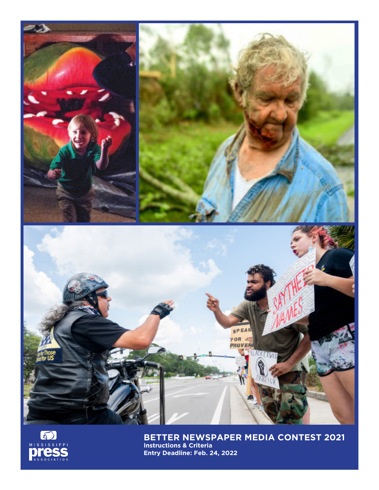



**BETTER NEWSPAPER MEDIA CONTEST 2021 Instructions & Criteria Entry Deadline: Feb. 24, 2022**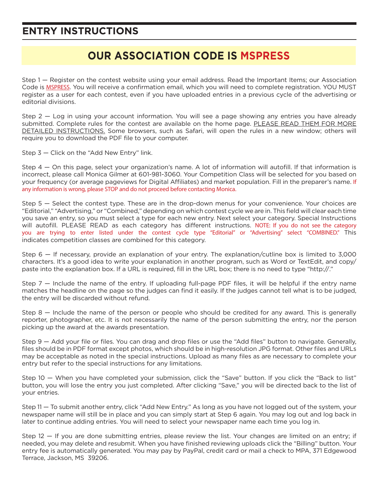## **ENTRY INSTRUCTIONS**

## **OUR ASSOCIATION CODE IS MSPRESS**

Step 1 — Register on the contest website using your email address. Read the Important Items; our Association Code is MSPRESS. You will receive a confirmation email, which you will need to complete registration. YOU MUST register as a user for each contest, even if you have uploaded entries in a previous cycle of the advertising or editorial divisions.

Step 2 — Log in using your account information. You will see a page showing any entries you have already submitted. Complete rules for the contest are available on the home page. PLEASE READ THEM FOR MORE DETAILED INSTRUCTIONS. Some browsers, such as Safari, will open the rules in a new window; others will require you to download the PDF file to your computer.

Step 3 — Click on the "Add New Entry" link.

Step 4 — On this page, select your organization's name. A lot of information will autofill. If that information is incorrect, please call Monica Gilmer at 601-981-3060. Your Competition Class will be selected for you based on your frequency (or average pageviews for Digital Affiliates) and market population. Fill in the preparer's name. If any information is wrong, please STOP and do not proceed before contacting Monica.

Step 5 — Select the contest type. These are in the drop-down menus for your convenience. Your choices are "Editorial," "Advertising," or "Combined," depending on which contest cycle we are in. This field will clear each time you save an entry, so you must select a type for each new entry. Next select your category. Special Instructions will autofill. PLEASE READ as each category has different instructions. NOTE: If you do not see the category you are trying to enter listed under the contest cycle type "Editorial" or "Advertising" select "COMBINED." This indicates competition classes are combined for this category.

Step 6 — If necessary, provide an explanation of your entry. The explanation/cutline box is limited to 3,000 characters. It's a good idea to write your explanation in another program, such as Word or TextEdit, and copy/ paste into the explanation box. If a URL is required, fill in the URL box; there is no need to type "http://."

Step 7 — Include the name of the entry. If uploading full-page PDF files, it will be helpful if the entry name matches the headline on the page so the judges can find it easily. If the judges cannot tell what is to be judged, the entry will be discarded without refund.

Step 8 — Include the name of the person or people who should be credited for any award. This is generally reporter, photographer, etc. It is not necessarily the name of the person submitting the entry, nor the person picking up the award at the awards presentation.

Step 9 — Add your file or files. You can drag and drop files or use the "Add files" button to navigate. Generally, files should be in PDF format except photos, which should be in high-resolution JPG format. Other files and URLs may be acceptable as noted in the special instructions. Upload as many files as are necessary to complete your entry but refer to the special instructions for any limitations.

Step 10 — When you have completed your submission, click the "Save" button. If you click the "Back to list" button, you will lose the entry you just completed. After clicking "Save," you will be directed back to the list of your entries.

Step 11 — To submit another entry, click "Add New Entry." As long as you have not logged out of the system, your newspaper name will still be in place and you can simply start at Step 6 again. You may log out and log back in later to continue adding entries. You will need to select your newspaper name each time you log in.

Step 12 — If you are done submitting entries, please review the list. Your changes are limited on an entry; if needed, you may delete and resubmit. When you have finished reviewing uploads click the "Billing" button. Your entry fee is automatically generated. You may pay by PayPal, credit card or mail a check to MPA, 371 Edgewood Terrace, Jackson, MS 39206.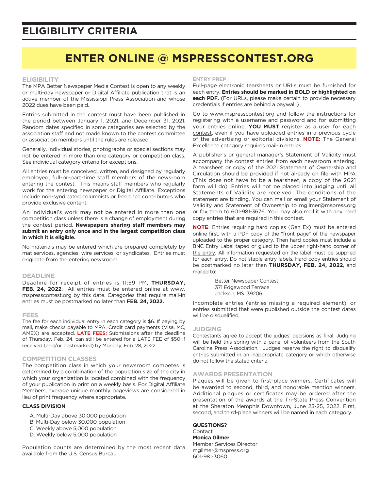## **ELIGIBILITY CRITERIA**

## **ENTER ONLINE @ MSPRESSCONTEST.ORG**

#### **ELIGIBILITY**

The MPA Better Newspaper Media Contest is open to any weekly or multi-day newspaper or Digital Affiliate publication that is an active member of the Mississippi Press Association and whose 2022 dues have been paid.

Entries submitted in the contest must have been published in the period between January 1, 2021, and December 31, 2021. Random dates specified in some categories are selected by the association staff and not made known to the contest committee or association members until the rules are released.

Generally, individual stories, photographs or special sections may not be entered in more than one category or competition class. See individual category criteria for exceptions.

All entries must be conceived, written, and designed by regularly employed, full-or-part-time staff members of the newsroom entering the contest. This means staff members who regularly work for the entering newspaper or Digital Affiliate. Exceptions include non-syndicated columnists or freelance contributors who provide exclusive content.

An individual's work may not be entered in more than one competition class unless there is a change of employment during the contest period. **Newspapers sharing staff members may submit an entry only once and in the largest competition class in which it is eligible.** 

No materials may be entered which are prepared completely by mat services, agencies, wire services, or syndicates. Entries must originate from the entering newsroom.

#### **DEADLINE**

Deadline for receipt of entries is 11:59 PM, **THURSDAY, FEB. 24, 2022**. All entries must be entered online at www. mspresscontest.org by this date. Categories that require mail-in entries must be postmarked no later than **FEB. 24, 2022.**

#### **FEES**

The fee for each individual entry in each category is \$6. If paying by mail, make checks payable to MPA. Credit card payments (Visa, MC, AMEX) are accepted. **LATE FEES:** Submissions after the deadline of Thursday, Feb. 24, can still be entered for a LATE FEE of \$50 if received (and/or postmarked) by Monday, Feb. 28, 2022.

#### **COMPETITION CLASSES**

The competition class in which your newsroom competes is determined by a combination of the population size of the city in which your organization is located combined with the frequency of your publication in print on a weekly basis. For Digital Affiliate Members, average unique monthly pageviews are considered in lieu of print frequency where appropriate.

#### **CLASS DIVISION**

- A. Multi-Day above 30,000 population
- B. Multi-Day below 30,000 population
- C. Weekly above 5,000 population
- D. Weekly below 5,000 population

Population counts are determined by the most recent data available from the U.S. Census Bureau.

#### **ENTRY PREP**

Full-page electronic tearsheets or URLs must be furnished for each entry. **Entries should be marked in BOLD or highlighted on each PDF.** (For URLs, please make certain to provide necessary credentials if entries are behind a paywall.)

Go to www.mspresscontest.org and follow the instructions for registering with a username and password and for submitting your entries online. **YOU MUST** register as a user for each contest, even if you have uploaded entries in a previous cycle of the advertising or editorial divisions. **NOTE:** The General Excellence category requires mail-in entries.

A publisher's or general manager's Statement of Validity must accompany the contest entries from each newsroom entering. A tearsheet or copy of the 2021 Statement of Ownership and Circulation should be provided if not already on file with MPA (This does not have to be a tearsheet, a copy of the 2021 form will do). Entries will not be placed into judging until all Statements of Validity are received. The conditions of the statement are binding. You can mail or email your Statement of Validity and Statement of Ownership to mgilmer@mspress.org or fax them to 601-981-3676. You may also mail it with any hard copy entries that are required in this contest.

**NOTE**: Entries requiring hard copies (Gen Ex) must be entered online first, with a PDF copy of the "front page" of the newspaper uploaded to the proper category. Then hard copies must include a BNC Entry Label taped or glued to the upper right-hand corner of the entry. All information requested on the label must be supplied for each entry. Do not staple entry labels. Hard copy entries should be postmarked no later than **THURSDAY, FEB. 24, 2022**, and mailed to:

> Better Newspaper Contest 371 Edgewood Terrace Jackson, MS 39206

Incomplete entries (entries missing a required element), or entries submitted that were published outside the contest dates will be disqualified.

#### **JUDGING**

Contestants agree to accept the judges' decisions as final. Judging will be held this spring with a panel of volunteers from the South Carolina Press Association. Judges reserve the right to disqualify entries submitted in an inappropriate category or which otherwise do not follow the stated criteria.

#### **AWARDS PRESENTATION**

Plaques will be given to first-place winners. Certificates will be awarded to second, third, and honorable mention winners. Additional plaques or certificates may be ordered after the presentation of the awards at the Tri-State Press Convention at the Sheraton Memphis Downtown, June 23-25, 2022. First, second, and third-place winners will be named in each category.

#### **QUESTIONS?** Contact

**Monica Gilmer** Member Services Director mgilmer@mspress.org 601-981-3060.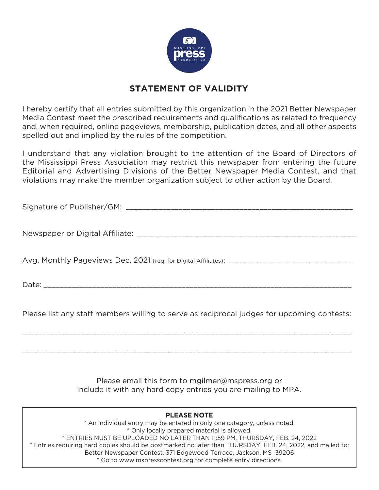

## **STATEMENT OF VALIDITY**

I hereby certify that all entries submitted by this organization in the 2021 Better Newspaper Media Contest meet the prescribed requirements and qualifications as related to frequency and, when required, online pageviews, membership, publication dates, and all other aspects spelled out and implied by the rules of the competition.

I understand that any violation brought to the attention of the Board of Directors of the Mississippi Press Association may restrict this newspaper from entering the future Editorial and Advertising Divisions of the Better Newspaper Media Contest, and that violations may make the member organization subject to other action by the Board.

Signature of Publisher/GM: \_\_\_\_\_\_\_\_\_\_\_\_\_\_\_\_\_\_\_\_\_\_\_\_\_\_\_\_\_\_\_\_\_\_\_\_\_\_\_\_\_\_\_\_\_\_\_\_\_\_\_\_\_\_\_\_

Newspaper or Digital Affiliate: \_\_\_\_\_\_\_\_\_\_\_\_\_\_\_\_\_\_\_\_\_\_\_\_\_\_\_\_\_\_\_\_\_\_\_\_\_\_\_\_\_\_\_\_\_\_\_\_\_\_\_\_\_\_

Avg. Monthly Pageviews Dec. 2021 (req. for Digital Affiliates): \_\_\_\_\_\_\_\_\_\_\_\_\_\_\_\_\_\_\_\_\_\_\_\_\_\_\_\_\_\_

 $Date:$ 

Please list any staff members willing to serve as reciprocal judges for upcoming contests:

\_\_\_\_\_\_\_\_\_\_\_\_\_\_\_\_\_\_\_\_\_\_\_\_\_\_\_\_\_\_\_\_\_\_\_\_\_\_\_\_\_\_\_\_\_\_\_\_\_\_\_\_\_\_\_\_\_\_\_\_\_\_\_\_\_\_\_\_\_\_\_\_\_\_\_\_\_\_\_\_\_

\_\_\_\_\_\_\_\_\_\_\_\_\_\_\_\_\_\_\_\_\_\_\_\_\_\_\_\_\_\_\_\_\_\_\_\_\_\_\_\_\_\_\_\_\_\_\_\_\_\_\_\_\_\_\_\_\_\_\_\_\_\_\_\_\_\_\_\_\_\_\_\_\_\_\_\_\_\_\_\_\_

Please email this form to mgilmer@mspress.org or include it with any hard copy entries you are mailing to MPA.

#### **PLEASE NOTE** \* An individual entry may be entered in only one category, unless noted. \* Only locally prepared material is allowed. \* ENTRIES MUST BE UPLOADED NO LATER THAN 11:59 PM, THURSDAY, FEB. 24, 2022 \* Entries requiring hard copies should be postmarked no later than THURSDAY, FEB. 24, 2022, and mailed to: Better Newspaper Contest, 371 Edgewood Terrace, Jackson, MS 39206 \* Go to www.mspresscontest.org for complete entry directions.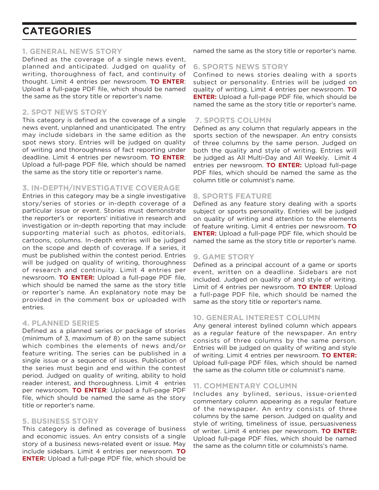#### **1. GENERAL NEWS STORY**

Defined as the coverage of a single news event, planned and anticipated. Judged on quality of writing, thoroughness of fact, and continuity of thought. Limit 4 entries per newsroom. **TO ENTER**: Upload a full-page PDF file, which should be named the same as the story title or reporter's name.

### **2. SPOT NEWS STORY**

This category is defined as the coverage of a single news event, unplanned and unanticipated. The entry may include sidebars in the same edition as the spot news story. Entries will be judged on quality of writing and thoroughness of fact reporting under deadline. Limit 4 entries per newsroom. **TO ENTER**: Upload a full-page PDF file, which should be named the same as the story title or reporter's name.

#### **3. IN-DEPTH/INVESTIGATIVE COVERAGE**

Entries in this category may be a single investigative story/series of stories or in-depth coverage of a particular issue or event. Stories must demonstrate the reporter's or reporters' initiative in research and investigation or in-depth reporting that may include supporting material such as photos, editorials, cartoons, columns. In-depth entries will be judged on the scope and depth of coverage. If a series, it must be published within the contest period. Entries will be judged on quality of writing, thoroughness of research and continuity. Limit 4 entries per newsroom. **TO ENTER:** Upload a full-page PDF file, which should be named the same as the story title or reporter's name. An explanatory note may be provided in the comment box or uploaded with entries.

#### **4. PLANNED SERIES**

Defined as a planned series or package of stories (minimum of 3, maximum of 8) on the same subject which combines the elements of news and/or feature writing. The series can be published in a single issue or a sequence of issues. Publication of the series must begin and end within the contest period. Judged on quality of writing, ability to hold reader interest, and thoroughness. Limit 4 entries per newsroom. **TO ENTER**: Upload a full-page PDF file, which should be named the same as the story title or reporter's name.

#### **5. BUSINESS STORY**

This category is defined as coverage of business and economic issues. An entry consists of a single story of a business news-related event or issue. May include sidebars. Limit 4 entries per newsroom. **TO ENTER:** Upload a full-page PDF file, which should be

named the same as the story title or reporter's name.

### **6. SPORTS NEWS STORY**

Confined to news stories dealing with a sports subject or personality. Entries will be judged on quality of writing. Limit 4 entries per newsroom. **TO ENTER:** Upload a full-page PDF file, which should be named the same as the story title or reporter's name.

### **7. SPORTS COLUMN**

Defined as any column that regularly appears in the sports section of the newspaper. An entry consists of three columns by the same person. Judged on both the quality and style of writing. Entries will be judged as All Multi-Day and All Weekly. Limit 4 entries per newsroom. **TO ENTER:** Upload full-page PDF files, which should be named the same as the column title or columnist's name.

#### **8. SPORTS FEATURE**

Defined as any feature story dealing with a sports subject or sports personality. Entries will be judged on quality of writing and attention to the elements of feature writing. Limit 4 entries per newsroom. **TO ENTER:** Upload a full-page PDF file, which should be named the same as the story title or reporter's name.

#### **9. GAME STORY**

Defined as a principal account of a game or sports event, written on a deadline. Sidebars are not included. Judged on quality of and style of writing. Limit of 4 entries per newsroom. **TO ENTER**: Upload a full-page PDF file, which should be named the same as the story title or reporter's name.

### **10. GENERAL INTEREST COLUMN**

Any general interest bylined column which appears as a regular feature of the newspaper. An entry consists of three columns by the same person. Entries will be judged on quality of writing and style of writing. Limit 4 entries per newsroom. **TO ENTER:** Upload full-page PDF files, which should be named the same as the column title or columnist's name.

### **11. COMMENTARY COLUMN**

Includes any bylined, serious, issue-oriented commentary column appearing as a regular feature of the newspaper. An entry consists of three columns by the same person. Judged on quality and style of writing, timeliness of issue, persuasiveness of writer. Limit 4 entries per newsroom. **TO ENTER:** Upload full-page PDF files, which should be named the same as the column title or columnists's name.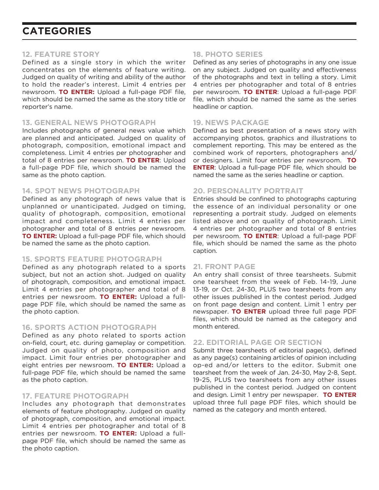#### **12. FEATURE STORY**

Defined as a single story in which the writer concentrates on the elements of feature writing. Judged on quality of writing and ability of the author to hold the reader's interest. Limit 4 entries per newsroom. **TO ENTER:** Upload a full-page PDF file, which should be named the same as the story title or reporter's name.

#### **13. GENERAL NEWS PHOTOGRAPH**

Includes photographs of general news value which are planned and anticipated. Judged on quality of photograph, composition, emotional impact and completeness. Limit 4 entries per photographer and total of 8 entries per newsroom. **TO ENTER**: Upload a full-page PDF file, which should be named the same as the photo caption.

#### **14. SPOT NEWS PHOTOGRAPH**

Defined as any photograph of news value that is unplanned or unanticipated. Judged on timing, quality of photograph, composition, emotional impact and completeness. Limit 4 entries per photographer and total of 8 entries per newsroom. **TO ENTER:** Upload a full-page PDF file, which should be named the same as the photo caption.

#### **15. SPORTS FEATURE PHOTOGRAPH**

Defined as any photograph related to a sports subject, but not an action shot. Judged on quality of photograph, composition, and emotional impact. Limit 4 entries per photographer and total of 8 entries per newsroom. **TO ENTER:** Upload a fullpage PDF file, which should be named the same as the photo caption.

#### **16. SPORTS ACTION PHOTOGRAPH**

Defined as any photo related to sports action on-field, court, etc. during gameplay or competition. Judged on quality of photo, composition and impact. Limit four entries per photographer and eight entries per newsroom. **TO ENTER:** Upload a full-page PDF file, which should be named the same as the photo caption.

### **17. FEATURE PHOTOGRAPH**

Includes any photograph that demonstrates elements of feature photography. Judged on quality of photograph, composition, and emotional impact. Limit 4 entries per photographer and total of 8 entries per newsroom. **TO ENTER:** Upload a fullpage PDF file, which should be named the same as the photo caption.

### **18. PHOTO SERIES**

Defined as any series of photographs in any one issue on any subject. Judged on quality and effectiveness of the photographs and text in telling a story. Limit 4 entries per photographer and total of 8 entries per newsroom. **TO ENTER**: Upload a full-page PDF file, which should be named the same as the series headline or caption.

### **19. NEWS PACKAGE**

Defined as best presentation of a news story with accompanying photos, graphics and illustrations to complement reporting. This may be entered as the combined work of reporters, photographers and/ or designers. Limit four entries per newsroom. **TO ENTER**: Upload a full-page PDF file, which should be named the same as the series headline or caption.

### **20. PERSONALITY PORTRAIT**

Entries should be confined to photographs capturing the essence of an individual personality or one representing a portrait study. Judged on elements listed above and on quality of photograph. Limit 4 entries per photographer and total of 8 entries per newsroom. **TO ENTER**: Upload a full-page PDF file, which should be named the same as the photo caption.

### **21. FRONT PAGE**

An entry shall consist of three tearsheets. Submit one tearsheet from the week of Feb. 14-19, June 13-19, or Oct. 24-30, PLUS two tearsheets from any other issues published in the contest period. Judged on front page design and content. Limit 1 entry per newspaper. **TO ENTER** upload three full page PDF files, which should be named as the category and month entered.

### **22. EDITORIAL PAGE OR SECTION**

Submit three tearsheets of editorial page(s), defined as any page(s) containing articles of opinion including op-ed and/or letters to the editor. Submit one tearsheet from the week of Jan. 24-30, May 2-8, Sept. 19-25, PLUS two tearsheets from any other issues published in the contest period. Judged on content and design. Limit 1 entry per newspaper. **TO ENTER** upload three full page PDF files, which should be named as the category and month entered.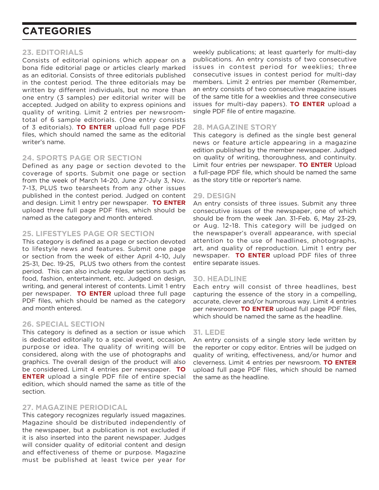#### **23. EDITORIALS**

Consists of editorial opinions which appear on a bona fide editorial page or articles clearly marked as an editorial. Consists of three editorials published in the contest period. The three editorials may be written by different individuals, but no more than one entry (3 samples) per editorial writer will be accepted. Judged on ability to express opinions and quality of writing. Limit 2 entries per newsroomtotal of 6 sample editorials. (One entry consists of 3 editorials). **TO ENTER** upload full page PDF files, which should named the same as the editorial writer's name.

#### **24. SPORTS PAGE OR SECTION**

Defined as any page or section devoted to the coverage of sports. Submit one page or section from the week of March 14-20, June 27-July 3, Nov. 7-13, PLUS two tearsheets from any other issues published in the contest period. Judged on content and design. Limit 1 entry per newspaper. **TO ENTER** upload three full page PDF files, which should be named as the category and month entered.

### **25. LIFESTYLES PAGE OR SECTION**

This category is defined as a page or section devoted to lifestyle news and features. Submit one page or section from the week of either April 4-10, July 25-31, Dec. 19-25, PLUS two others from the contest period. This can also include regular sections such as food, fashion, entertainment, etc. Judged on design, writing, and general interest of contents. Limit 1 entry per newspaper. **TO ENTER** upload three full page PDF files, which should be named as the category and month entered.

#### **26. SPECIAL SECTION**

This category is defined as a section or issue which is dedicated editorially to a special event, occasion, purpose or idea. The quality of writing will be considered, along with the use of photographs and graphics. The overall design of the product will also be considered. Limit 4 entries per newspaper. **TO ENTER** upload a single PDF file of entire special edition, which should named the same as title of the section.

#### **27. MAGAZINE PERIODICAL**

This category recognizes regularly issued magazines. Magazine should be distributed independently of the newspaper, but a publication is not excluded if it is also inserted into the parent newspaper. Judges will consider quality of editorial content and design and effectiveness of theme or purpose. Magazine must be published at least twice per year for

weekly publications; at least quarterly for multi-day publications. An entry consists of two consecutive issues in contest period for weeklies; three consecutive issues in contest period for multi-day members. Limit 2 entries per member (Remember, an entry consists of two consecutive magazine issues of the same title for a weeklies and three consecutive issues for multi-day papers). **TO ENTER** upload a single PDF file of entire magazine.

### **28. MAGAZINE STORY**

This category is defined as the single best general news or feature article appearing in a magazine edition published by the member newspaper. Judged on quality of writing, thoroughness, and continuity. Limit four entries per newspaper. **TO ENTER** Upload a full-page PDF file, which should be named the same as the story title or reporter's name.

#### **29. DESIGN**

An entry consists of three issues. Submit any three consecutive issues of the newspaper, one of which should be from the week Jan. 31-Feb. 6, May 23-29, or Aug. 12-18. This category will be judged on the newspaper's overall appearance, with special attention to the use of headlines, photographs, art, and quality of reproduction. Limit 1 entry per newspaper. **TO ENTER** upload PDF files of three entire separate issues.

#### **30. HEADLINE**

Each entry will consist of three headlines, best capturing the essence of the story in a compelling, accurate, clever and/or humorous way. Limit 4 entries per newsroom. **TO ENTER** upload full page PDF files, which should be named the same as the headline.

#### **31. LEDE**

An entry consists of a single story lede written by the reporter or copy editor. Entries will be judged on quality of writing, effectiveness, and/or humor and cleverness. Limit 4 entries per newsroom. **TO ENTER** upload full page PDF files, which should be named the same as the headline.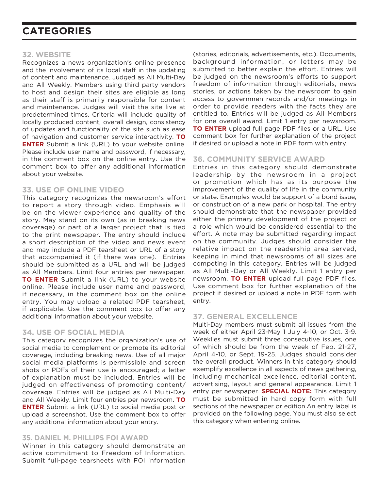#### **32. WEBSITE**

Recognizes a news organization's online presence and the involvement of its local staff in the updating of content and maintenance. Judged as All Multi-Day and All Weekly. Members using third party vendors to host and design their sites are eligible as long as their staff is primarily responsible for content and maintenance. Judges will visit the site live at predetermined times. Criteria will include quality of locally produced content, overall design, consistency of updates and functionality of the site such as ease of navigation and customer service interactivity. **TO ENTER** Submit a link (URL) to your website online. Please include user name and password, if necessary, in the comment box on the online entry. Use the comment box to offer any additional information about your website.

#### **33. USE OF ONLINE VIDEO**

This category recognizes the newsroom's effort to report a story through video. Emphasis will be on the viewer experience and quality of the story. May stand on its own (as in breaking news coverage) or part of a larger project that is tied to the print newspaper. The entry should include a short description of the video and news event and may include a PDF tearsheet or URL of a story that accompanied it (if there was one). Entries should be submitted as a URL and will be judged as All Members. Limit four entries per newspaper. **TO ENTER** Submit a link (URL) to your website online. Please include user name and password, if necessary, in the comment box on the online entry. You may upload a related PDF tearsheet, if applicable. Use the comment box to offer any additional information about your website.

#### **34. USE OF SOCIAL MEDIA**

This category recognizes the organization's use of social media to complement or promote its editorial coverage, including breaking news. Use of all major social media platforms is permissible and screen shots or PDFs of their use is encouraged; a letter of explanation must be included. Entries will be judged on effectiveness of promoting content/ coverage. Entries will be judged as All Multi-Day and All Weekly. Limit four entries per newsroom. **TO ENTER** Submit a link (URL) to social media post or upload a screenshot. Use the comment box to offer any additional information about your entry.

#### **35. DANIEL M. PHILLIPS FOI AWARD**

Winner in this category should demonstrate an active commitment to Freedom of Information. Submit full-page tearsheets with FOI information

(stories, editorials, advertisements, etc.). Documents, background information, or letters may be submitted to better explain the effort. Entries will be judged on the newsroom's efforts to support freedom of information through editorials, news stories, or actions taken by the newsroom to gain access to governmen records and/or meetings in order to provide readers with the facts they are entitled to. Entries will be judged as All Members for one overall award. Limit 1 entry per newsroom. **TO ENTER** upload full page PDF files or a URL. Use comment box for further explanation of the project if desired or upload a note in PDF form with entry.

#### **36. COMMUNITY SERVICE AWARD**

Entries in this category should demonstrate leadership by the newsroom in a project or promotion which has as its purpose the improvement of the quality of life in the community or state. Examples would be support of a bond issue, or construction of a new park or hospital. The entry should demonstrate that the newspaper provided either the primary development of the project or a role which would be considered essential to the effort. A note may be submitted regarding impact on the community. Judges should consider the relative impact on the readership area served, keeping in mind that newsrooms of all sizes are competing in this category. Entries will be judged as All Multi-Day or All Weekly. Limit 1 entry per newsroom. **TO ENTER** upload full page PDF files. Use comment box for further explanation of the project if desired or upload a note in PDF form with entry.

### **37. GENERAL EXCELLENCE**

Multi-Day members must submit all issues from the week of either April 23-May 1 July 4-10, or Oct. 3-9. Weeklies must submit three consecutive issues, one of which should be from the week of Feb. 21-27, April 4-10, or Sept. 19-25. Judges should consider the overall product. Winners in this category should exemplify excellence in all aspects of news gathering, including mechanical excellence, editorial content, advertising, layout and general appearance. Limit 1 entry per newspaper. **SPECIAL NOTE:** This category must be submitted in hard copy form with full sections of the newspaper or edition.An entry label is provided on the following page. You must also select this category when entering online.